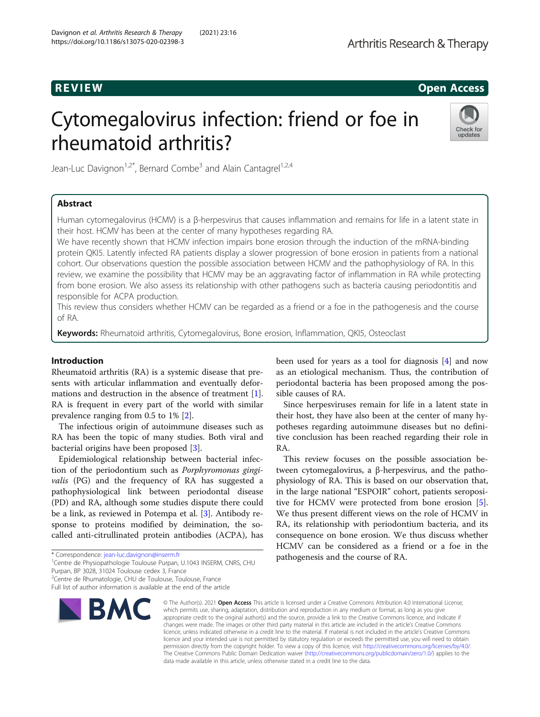# R EVI EW Open Access

# Cytomegalovirus infection: friend or foe in rheumatoid arthritis?



Jean-Luc Davignon<sup>1,2\*</sup>, Bernard Combe<sup>3</sup> and Alain Cantagrel<sup>1,2,4</sup>

# Abstract

Human cytomegalovirus (HCMV) is a β-herpesvirus that causes inflammation and remains for life in a latent state in their host. HCMV has been at the center of many hypotheses regarding RA.

We have recently shown that HCMV infection impairs bone erosion through the induction of the mRNA-binding protein QKI5. Latently infected RA patients display a slower progression of bone erosion in patients from a national cohort. Our observations question the possible association between HCMV and the pathophysiology of RA. In this review, we examine the possibility that HCMV may be an aggravating factor of inflammation in RA while protecting from bone erosion. We also assess its relationship with other pathogens such as bacteria causing periodontitis and responsible for ACPA production.

This review thus considers whether HCMV can be regarded as a friend or a foe in the pathogenesis and the course of RA.

Keywords: Rheumatoid arthritis, Cytomegalovirus, Bone erosion, Inflammation, QKI5, Osteoclast

# Introduction

Rheumatoid arthritis (RA) is a systemic disease that presents with articular inflammation and eventually deformations and destruction in the absence of treatment [\[1](#page-5-0)]. RA is frequent in every part of the world with similar prevalence ranging from 0.5 to 1% [[2\]](#page-5-0).

The infectious origin of autoimmune diseases such as RA has been the topic of many studies. Both viral and bacterial origins have been proposed [[3\]](#page-5-0).

Epidemiological relationship between bacterial infection of the periodontium such as Porphyromonas gingivalis (PG) and the frequency of RA has suggested a pathophysiological link between periodontal disease (PD) and RA, although some studies dispute there could be a link, as reviewed in Potempa et al. [\[3](#page-5-0)]. Antibody response to proteins modified by deimination, the socalled anti-citrullinated protein antibodies (ACPA), has

<sup>1</sup> Centre de Physiopathologie Toulouse Purpan, U.1043 INSERM, CNRS, CHU

Purpan, BP 3028, 31024 Toulouse cedex 3, France

<sup>2</sup>Centre de Rhumatologie, CHU de Toulouse, Toulouse, France

Full list of author information is available at the end of the article



been used for years as a tool for diagnosis [\[4](#page-5-0)] and now as an etiological mechanism. Thus, the contribution of periodontal bacteria has been proposed among the possible causes of RA.

Since herpesviruses remain for life in a latent state in their host, they have also been at the center of many hypotheses regarding autoimmune diseases but no definitive conclusion has been reached regarding their role in RA.

This review focuses on the possible association between cytomegalovirus, a β-herpesvirus, and the pathophysiology of RA. This is based on our observation that, in the large national "ESPOIR" cohort, patients seropositive for HCMV were protected from bone erosion [\[5](#page-5-0)]. We thus present different views on the role of HCMV in RA, its relationship with periodontium bacteria, and its consequence on bone erosion. We thus discuss whether HCMV can be considered as a friend or a foe in the pathogenesis and the course of RA.

© The Author(s), 2021 **Open Access** This article is licensed under a Creative Commons Attribution 4.0 International License, which permits use, sharing, adaptation, distribution and reproduction in any medium or format, as long as you give appropriate credit to the original author(s) and the source, provide a link to the Creative Commons licence, and indicate if changes were made. The images or other third party material in this article are included in the article's Creative Commons licence, unless indicated otherwise in a credit line to the material. If material is not included in the article's Creative Commons licence and your intended use is not permitted by statutory regulation or exceeds the permitted use, you will need to obtain permission directly from the copyright holder. To view a copy of this licence, visit [http://creativecommons.org/licenses/by/4.0/.](http://creativecommons.org/licenses/by/4.0/) The Creative Commons Public Domain Dedication waiver [\(http://creativecommons.org/publicdomain/zero/1.0/](http://creativecommons.org/publicdomain/zero/1.0/)) applies to the data made available in this article, unless otherwise stated in a credit line to the data.

<sup>\*</sup> Correspondence: [jean-luc.davignon@inserm.fr](mailto:jean-luc.davignon@inserm.fr) <sup>1</sup>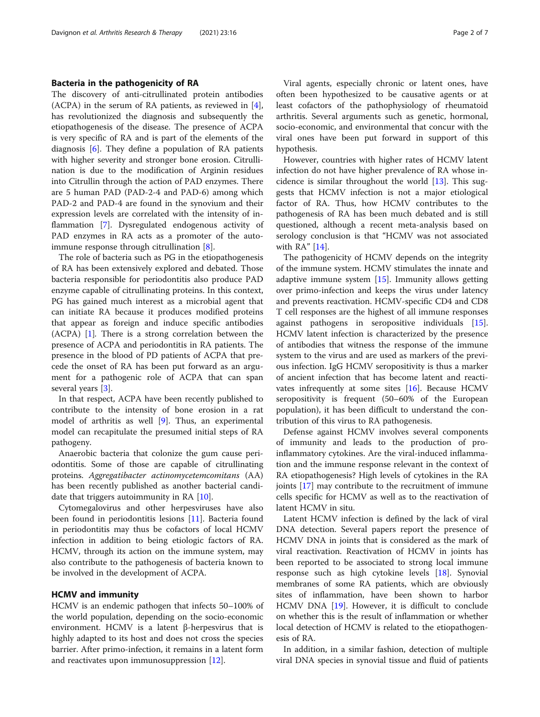# Bacteria in the pathogenicity of RA

The discovery of anti-citrullinated protein antibodies (ACPA) in the serum of RA patients, as reviewed in [\[4](#page-5-0)], has revolutionized the diagnosis and subsequently the etiopathogenesis of the disease. The presence of ACPA is very specific of RA and is part of the elements of the diagnosis [[6\]](#page-5-0). They define a population of RA patients with higher severity and stronger bone erosion. Citrullination is due to the modification of Arginin residues into Citrullin through the action of PAD enzymes. There are 5 human PAD (PAD-2-4 and PAD-6) among which PAD-2 and PAD-4 are found in the synovium and their expression levels are correlated with the intensity of inflammation [[7](#page-5-0)]. Dysregulated endogenous activity of PAD enzymes in RA acts as a promoter of the autoimmune response through citrullination [[8\]](#page-5-0).

The role of bacteria such as PG in the etiopathogenesis of RA has been extensively explored and debated. Those bacteria responsible for periodontitis also produce PAD enzyme capable of citrullinating proteins. In this context, PG has gained much interest as a microbial agent that can initiate RA because it produces modified proteins that appear as foreign and induce specific antibodies (ACPA) [[1\]](#page-5-0). There is a strong correlation between the presence of ACPA and periodontitis in RA patients. The presence in the blood of PD patients of ACPA that precede the onset of RA has been put forward as an argument for a pathogenic role of ACPA that can span several years [\[3\]](#page-5-0).

In that respect, ACPA have been recently published to contribute to the intensity of bone erosion in a rat model of arthritis as well [[9\]](#page-5-0). Thus, an experimental model can recapitulate the presumed initial steps of RA pathogeny.

Anaerobic bacteria that colonize the gum cause periodontitis. Some of those are capable of citrullinating proteins. Aggregatibacter actinomycetemcomitans (AA) has been recently published as another bacterial candidate that triggers autoimmunity in RA [\[10\]](#page-5-0).

Cytomegalovirus and other herpesviruses have also been found in periodontitis lesions [[11](#page-5-0)]. Bacteria found in periodontitis may thus be cofactors of local HCMV infection in addition to being etiologic factors of RA. HCMV, through its action on the immune system, may also contribute to the pathogenesis of bacteria known to be involved in the development of ACPA.

### HCMV and immunity

HCMV is an endemic pathogen that infects 50–100% of the world population, depending on the socio-economic environment. HCMV is a latent β-herpesvirus that is highly adapted to its host and does not cross the species barrier. After primo-infection, it remains in a latent form and reactivates upon immunosuppression [[12](#page-5-0)].

Viral agents, especially chronic or latent ones, have often been hypothesized to be causative agents or at least cofactors of the pathophysiology of rheumatoid arthritis. Several arguments such as genetic, hormonal, socio-economic, and environmental that concur with the viral ones have been put forward in support of this hypothesis.

However, countries with higher rates of HCMV latent infection do not have higher prevalence of RA whose incidence is similar throughout the world [[13](#page-5-0)]. This suggests that HCMV infection is not a major etiological factor of RA. Thus, how HCMV contributes to the pathogenesis of RA has been much debated and is still questioned, although a recent meta-analysis based on serology conclusion is that "HCMV was not associated with RA" [\[14](#page-5-0)].

The pathogenicity of HCMV depends on the integrity of the immune system. HCMV stimulates the innate and adaptive immune system  $[15]$  $[15]$  $[15]$ . Immunity allows getting over primo-infection and keeps the virus under latency and prevents reactivation. HCMV-specific CD4 and CD8 T cell responses are the highest of all immune responses against pathogens in seropositive individuals [\[15](#page-5-0)]. HCMV latent infection is characterized by the presence of antibodies that witness the response of the immune system to the virus and are used as markers of the previous infection. IgG HCMV seropositivity is thus a marker of ancient infection that has become latent and reactivates infrequently at some sites [\[16](#page-5-0)]. Because HCMV seropositivity is frequent (50–60% of the European population), it has been difficult to understand the contribution of this virus to RA pathogenesis.

Defense against HCMV involves several components of immunity and leads to the production of proinflammatory cytokines. Are the viral-induced inflammation and the immune response relevant in the context of RA etiopathogenesis? High levels of cytokines in the RA joints [\[17](#page-5-0)] may contribute to the recruitment of immune cells specific for HCMV as well as to the reactivation of latent HCMV in situ.

Latent HCMV infection is defined by the lack of viral DNA detection. Several papers report the presence of HCMV DNA in joints that is considered as the mark of viral reactivation. Reactivation of HCMV in joints has been reported to be associated to strong local immune response such as high cytokine levels [\[18\]](#page-5-0). Synovial membranes of some RA patients, which are obviously sites of inflammation, have been shown to harbor HCMV DNA [[19](#page-5-0)]. However, it is difficult to conclude on whether this is the result of inflammation or whether local detection of HCMV is related to the etiopathogenesis of RA.

In addition, in a similar fashion, detection of multiple viral DNA species in synovial tissue and fluid of patients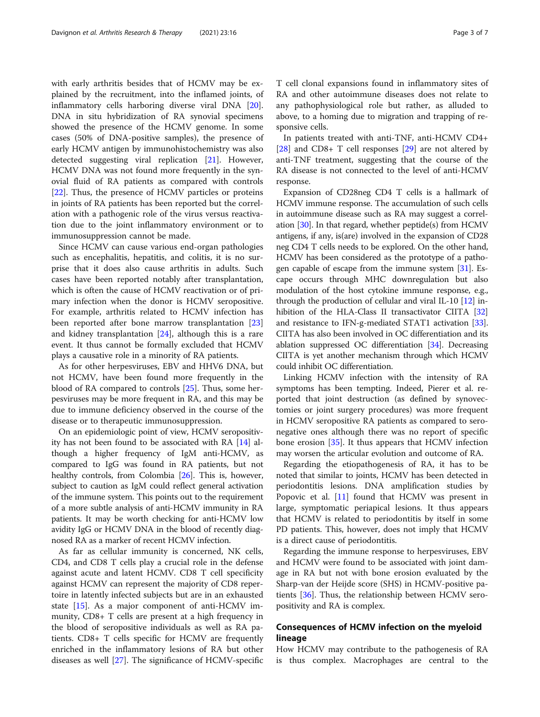with early arthritis besides that of HCMV may be explained by the recruitment, into the inflamed joints, of inflammatory cells harboring diverse viral DNA [\[20](#page-5-0)]. DNA in situ hybridization of RA synovial specimens showed the presence of the HCMV genome. In some cases (50% of DNA-positive samples), the presence of early HCMV antigen by immunohistochemistry was also detected suggesting viral replication [[21\]](#page-5-0). However, HCMV DNA was not found more frequently in the synovial fluid of RA patients as compared with controls [[22\]](#page-5-0). Thus, the presence of HCMV particles or proteins in joints of RA patients has been reported but the correlation with a pathogenic role of the virus versus reactivation due to the joint inflammatory environment or to immunosuppression cannot be made.

Since HCMV can cause various end-organ pathologies such as encephalitis, hepatitis, and colitis, it is no surprise that it does also cause arthritis in adults. Such cases have been reported notably after transplantation, which is often the cause of HCMV reactivation or of primary infection when the donor is HCMV seropositive. For example, arthritis related to HCMV infection has been reported after bone marrow transplantation [[23](#page-5-0)] and kidney transplantation [\[24](#page-5-0)], although this is a rare event. It thus cannot be formally excluded that HCMV plays a causative role in a minority of RA patients.

As for other herpesviruses, EBV and HHV6 DNA, but not HCMV, have been found more frequently in the blood of RA compared to controls [[25](#page-5-0)]. Thus, some herpesviruses may be more frequent in RA, and this may be due to immune deficiency observed in the course of the disease or to therapeutic immunosuppression.

On an epidemiologic point of view, HCMV seropositivity has not been found to be associated with RA [[14](#page-5-0)] although a higher frequency of IgM anti-HCMV, as compared to IgG was found in RA patients, but not healthy controls, from Colombia [\[26\]](#page-5-0). This is, however, subject to caution as IgM could reflect general activation of the immune system. This points out to the requirement of a more subtle analysis of anti-HCMV immunity in RA patients. It may be worth checking for anti-HCMV low avidity IgG or HCMV DNA in the blood of recently diagnosed RA as a marker of recent HCMV infection.

As far as cellular immunity is concerned, NK cells, CD4, and CD8 T cells play a crucial role in the defense against acute and latent HCMV. CD8 T cell specificity against HCMV can represent the majority of CD8 repertoire in latently infected subjects but are in an exhausted state [[15\]](#page-5-0). As a major component of anti-HCMV immunity, CD8+ T cells are present at a high frequency in the blood of seropositive individuals as well as RA patients. CD8+ T cells specific for HCMV are frequently enriched in the inflammatory lesions of RA but other diseases as well [[27](#page-5-0)]. The significance of HCMV-specific

T cell clonal expansions found in inflammatory sites of RA and other autoimmune diseases does not relate to any pathophysiological role but rather, as alluded to above, to a homing due to migration and trapping of responsive cells.

In patients treated with anti-TNF, anti-HCMV CD4+ [[28\]](#page-5-0) and CD8+ T cell responses [[29](#page-5-0)] are not altered by anti-TNF treatment, suggesting that the course of the RA disease is not connected to the level of anti-HCMV response.

Expansion of CD28neg CD4 T cells is a hallmark of HCMV immune response. The accumulation of such cells in autoimmune disease such as RA may suggest a correlation  $[30]$  $[30]$  $[30]$ . In that regard, whether peptide(s) from HCMV antigens, if any, is(are) involved in the expansion of CD28 neg CD4 T cells needs to be explored. On the other hand, HCMV has been considered as the prototype of a pathogen capable of escape from the immune system [\[31](#page-5-0)]. Escape occurs through MHC downregulation but also modulation of the host cytokine immune response, e.g., through the production of cellular and viral IL-10  $[12]$  $[12]$  in-hibition of the HLA-Class II transactivator CIITA [[32](#page-5-0)] and resistance to IFN-g-mediated STAT1 activation [[33](#page-5-0)]. CIITA has also been involved in OC differentiation and its ablation suppressed OC differentiation [[34](#page-5-0)]. Decreasing CIITA is yet another mechanism through which HCMV could inhibit OC differentiation.

Linking HCMV infection with the intensity of RA symptoms has been tempting. Indeed, Pierer et al. reported that joint destruction (as defined by synovectomies or joint surgery procedures) was more frequent in HCMV seropositive RA patients as compared to seronegative ones although there was no report of specific bone erosion [\[35\]](#page-5-0). It thus appears that HCMV infection may worsen the articular evolution and outcome of RA.

Regarding the etiopathogenesis of RA, it has to be noted that similar to joints, HCMV has been detected in periodontitis lesions. DNA amplification studies by Popovic et al. [\[11\]](#page-5-0) found that HCMV was present in large, symptomatic periapical lesions. It thus appears that HCMV is related to periodontitis by itself in some PD patients. This, however, does not imply that HCMV is a direct cause of periodontitis.

Regarding the immune response to herpesviruses, EBV and HCMV were found to be associated with joint damage in RA but not with bone erosion evaluated by the Sharp-van der Heijde score (SHS) in HCMV-positive patients [[36\]](#page-5-0). Thus, the relationship between HCMV seropositivity and RA is complex.

# Consequences of HCMV infection on the myeloid lineage

How HCMV may contribute to the pathogenesis of RA is thus complex. Macrophages are central to the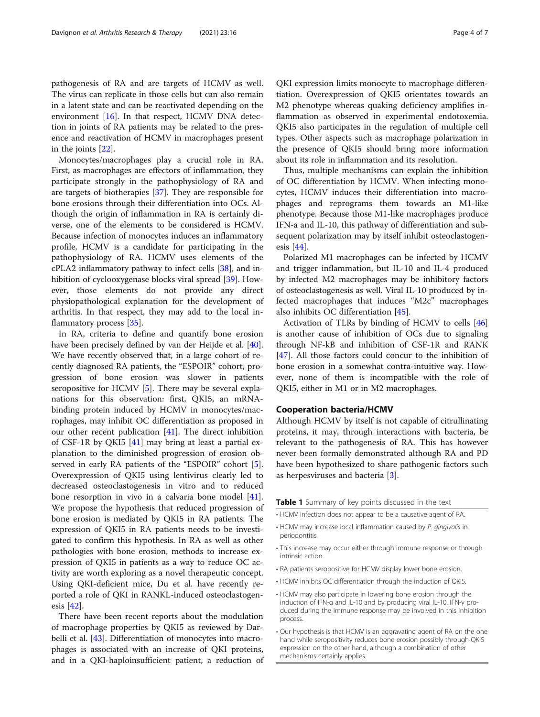<span id="page-3-0"></span>pathogenesis of RA and are targets of HCMV as well. The virus can replicate in those cells but can also remain in a latent state and can be reactivated depending on the environment [[16](#page-5-0)]. In that respect, HCMV DNA detection in joints of RA patients may be related to the presence and reactivation of HCMV in macrophages present in the joints [\[22\]](#page-5-0).

Monocytes/macrophages play a crucial role in RA. First, as macrophages are effectors of inflammation, they participate strongly in the pathophysiology of RA and are targets of biotherapies [[37\]](#page-5-0). They are responsible for bone erosions through their differentiation into OCs. Although the origin of inflammation in RA is certainly diverse, one of the elements to be considered is HCMV. Because infection of monocytes induces an inflammatory profile, HCMV is a candidate for participating in the pathophysiology of RA. HCMV uses elements of the cPLA2 inflammatory pathway to infect cells [[38\]](#page-5-0), and inhibition of cyclooxygenase blocks viral spread [\[39](#page-5-0)]. However, those elements do not provide any direct physiopathological explanation for the development of arthritis. In that respect, they may add to the local inflammatory process [\[35\]](#page-5-0).

In RA, criteria to define and quantify bone erosion have been precisely defined by van der Heijde et al. [\[40](#page-5-0)]. We have recently observed that, in a large cohort of recently diagnosed RA patients, the "ESPOIR" cohort, progression of bone erosion was slower in patients seropositive for HCMV [[5\]](#page-5-0). There may be several explanations for this observation: first, QKI5, an mRNAbinding protein induced by HCMV in monocytes/macrophages, may inhibit OC differentiation as proposed in our other recent publication [[41](#page-6-0)]. The direct inhibition of CSF-1R by QKI5 [\[41](#page-6-0)] may bring at least a partial explanation to the diminished progression of erosion observed in early RA patients of the "ESPOIR" cohort [\[5](#page-5-0)]. Overexpression of QKI5 using lentivirus clearly led to decreased osteoclastogenesis in vitro and to reduced bone resorption in vivo in a calvaria bone model [\[41](#page-6-0)]. We propose the hypothesis that reduced progression of bone erosion is mediated by QKI5 in RA patients. The expression of QKI5 in RA patients needs to be investigated to confirm this hypothesis. In RA as well as other pathologies with bone erosion, methods to increase expression of QKI5 in patients as a way to reduce OC activity are worth exploring as a novel therapeutic concept. Using QKI-deficient mice, Du et al. have recently reported a role of QKI in RANKL-induced osteoclastogenesis [\[42](#page-6-0)].

There have been recent reports about the modulation of macrophage properties by QKI5 as reviewed by Dar-belli et al. [[43\]](#page-6-0). Differentiation of monocytes into macrophages is associated with an increase of QKI proteins, and in a QKI-haploinsufficient patient, a reduction of QKI expression limits monocyte to macrophage differentiation. Overexpression of QKI5 orientates towards an M2 phenotype whereas quaking deficiency amplifies inflammation as observed in experimental endotoxemia. QKI5 also participates in the regulation of multiple cell types. Other aspects such as macrophage polarization in the presence of QKI5 should bring more information about its role in inflammation and its resolution.

Thus, multiple mechanisms can explain the inhibition of OC differentiation by HCMV. When infecting monocytes, HCMV induces their differentiation into macrophages and reprograms them towards an M1-like phenotype. Because those M1-like macrophages produce IFN-a and IL-10, this pathway of differentiation and subsequent polarization may by itself inhibit osteoclastogenesis [\[44](#page-6-0)].

Polarized M1 macrophages can be infected by HCMV and trigger inflammation, but IL-10 and IL-4 produced by infected M2 macrophages may be inhibitory factors of osteoclastogenesis as well. Viral IL-10 produced by infected macrophages that induces "M2c" macrophages also inhibits OC differentiation [\[45\]](#page-6-0).

Activation of TLRs by binding of HCMV to cells [[46](#page-6-0)] is another cause of inhibition of OCs due to signaling through NF-kB and inhibition of CSF-1R and RANK [[47\]](#page-6-0). All those factors could concur to the inhibition of bone erosion in a somewhat contra-intuitive way. However, none of them is incompatible with the role of QKI5, either in M1 or in M2 macrophages.

# Cooperation bacteria/HCMV

Although HCMV by itself is not capable of citrullinating proteins, it may, through interactions with bacteria, be relevant to the pathogenesis of RA. This has however never been formally demonstrated although RA and PD have been hypothesized to share pathogenic factors such as herpesviruses and bacteria [[3\]](#page-5-0).

Table 1 Summary of key points discussed in the text

- HCMV infection does not appear to be a causative agent of RA.
- HCMV may increase local inflammation caused by P. gingivalis in periodontitis.
- This increase may occur either through immune response or through intrinsic action.
- RA patients seropositive for HCMV display lower bone erosion.
- HCMV inhibits OC differentiation through the induction of QKI5.
- HCMV may also participate in lowering bone erosion through the induction of IFN-α and IL-10 and by producing viral IL-10. IFN-γ produced during the immune response may be involved in this inhibition process.
- Our hypothesis is that HCMV is an aggravating agent of RA on the one hand while seropositivity reduces bone erosion possibly through QKI5 expression on the other hand, although a combination of other mechanisms certainly applies.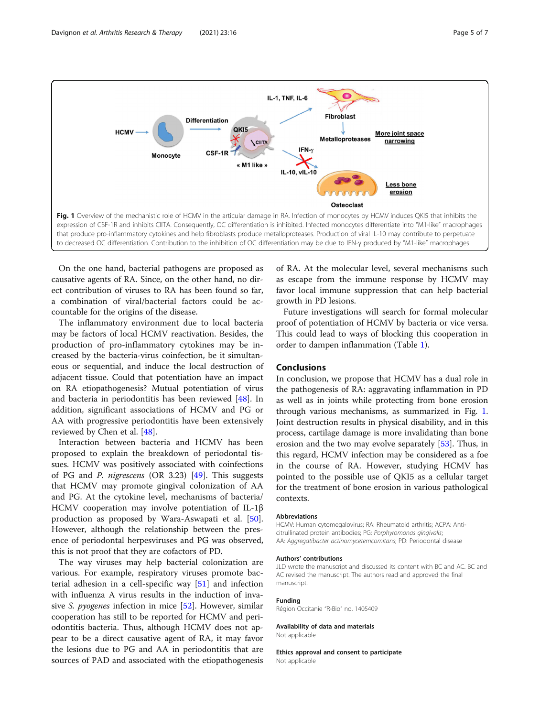

On the one hand, bacterial pathogens are proposed as causative agents of RA. Since, on the other hand, no direct contribution of viruses to RA has been found so far, a combination of viral/bacterial factors could be accountable for the origins of the disease.

The inflammatory environment due to local bacteria may be factors of local HCMV reactivation. Besides, the production of pro-inflammatory cytokines may be increased by the bacteria-virus coinfection, be it simultaneous or sequential, and induce the local destruction of adjacent tissue. Could that potentiation have an impact on RA etiopathogenesis? Mutual potentiation of virus and bacteria in periodontitis has been reviewed [[48\]](#page-6-0). In addition, significant associations of HCMV and PG or AA with progressive periodontitis have been extensively reviewed by Chen et al. [[48](#page-6-0)].

Interaction between bacteria and HCMV has been proposed to explain the breakdown of periodontal tissues. HCMV was positively associated with coinfections of PG and *P. nigrescens* (OR 3.23)  $[49]$  $[49]$ . This suggests that HCMV may promote gingival colonization of AA and PG. At the cytokine level, mechanisms of bacteria/ HCMV cooperation may involve potentiation of IL-1β production as proposed by Wara-Aswapati et al. [\[50](#page-6-0)]. However, although the relationship between the presence of periodontal herpesviruses and PG was observed, this is not proof that they are cofactors of PD.

The way viruses may help bacterial colonization are various. For example, respiratory viruses promote bacterial adhesion in a cell-specific way [\[51\]](#page-6-0) and infection with influenza A virus results in the induction of invasive S. pyogenes infection in mice [[52\]](#page-6-0). However, similar cooperation has still to be reported for HCMV and periodontitis bacteria. Thus, although HCMV does not appear to be a direct causative agent of RA, it may favor the lesions due to PG and AA in periodontitis that are sources of PAD and associated with the etiopathogenesis of RA. At the molecular level, several mechanisms such as escape from the immune response by HCMV may favor local immune suppression that can help bacterial growth in PD lesions.

Future investigations will search for formal molecular proof of potentiation of HCMV by bacteria or vice versa. This could lead to ways of blocking this cooperation in order to dampen inflammation (Table [1\)](#page-3-0).

# Conclusions

In conclusion, we propose that HCMV has a dual role in the pathogenesis of RA: aggravating inflammation in PD as well as in joints while protecting from bone erosion through various mechanisms, as summarized in Fig. 1. Joint destruction results in physical disability, and in this process, cartilage damage is more invalidating than bone erosion and the two may evolve separately [\[53\]](#page-6-0). Thus, in this regard, HCMV infection may be considered as a foe in the course of RA. However, studying HCMV has pointed to the possible use of QKI5 as a cellular target for the treatment of bone erosion in various pathological contexts.

#### Abbreviations

HCMV: Human cytomegalovirus; RA: Rheumatoid arthritis; ACPA: Anticitrullinated protein antibodies; PG: Porphyromonas gingivalis; AA: Aggregatibacter actinomycetemcomitans; PD: Periodontal disease

#### Authors' contributions

JLD wrote the manuscript and discussed its content with BC and AC. BC and AC revised the manuscript. The authors read and approved the final manuscript.

#### Funding

Région Occitanie "R-Bio" no. 1405409

#### Availability of data and materials Not applicable

Ethics approval and consent to participate Not applicable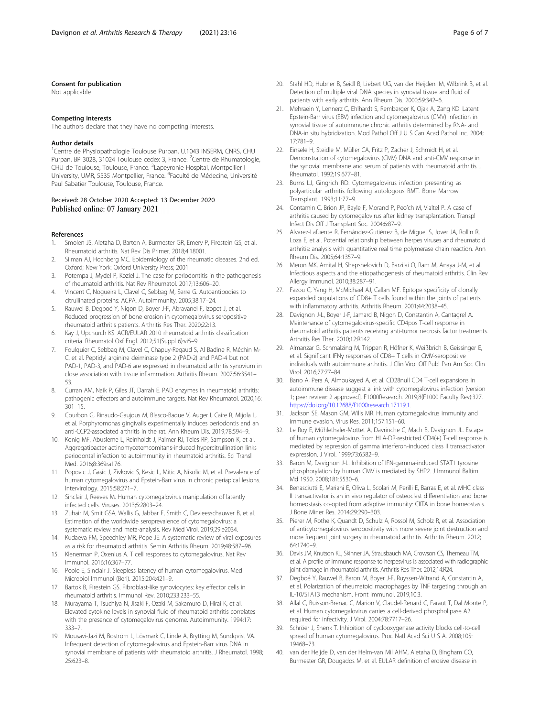#### <span id="page-5-0"></span>Consent for publication

Not applicable

#### Competing interests

The authors declare that they have no competing interests.

#### Author details

<sup>1</sup>Centre de Physiopathologie Toulouse Purpan, U.1043 INSERM, CNRS, CHU Purpan, BP 3028, 31024 Toulouse cedex 3, France. <sup>2</sup>Centre de Rhumatologie, CHU de Toulouse, Toulouse, France. <sup>3</sup>Lapeyronie Hospital, Montpellier I University, UMR, 5535 Montpellier, France. <sup>4</sup>Faculté de Médecine, Université Paul Sabatier Toulouse, Toulouse, France.

#### Received: 28 October 2020 Accepted: 13 December 2020 Published online: 07 January 2021

#### References

- Smolen JS, Aletaha D, Barton A, Burmester GR, Emery P, Firestein GS, et al. Rheumatoid arthritis. Nat Rev Dis Primer. 2018;4:18001.
- 2. Silman AJ, Hochberg MC. Epidemiology of the rheumatic diseases. 2nd ed. Oxford; New York: Oxford University Press; 2001.
- 3. Potempa J, Mydel P, Koziel J. The case for periodontitis in the pathogenesis of rheumatoid arthritis. Nat Rev Rheumatol. 2017;13:606–20.
- 4. Vincent C, Nogueira L, Clavel C, Sebbag M, Serre G. Autoantibodies to citrullinated proteins: ACPA. Autoimmunity. 2005;38:17–24.
- 5. Rauwel B, Degboé Y, Nigon D, Boyer J-F, Abravanel F, Izopet J, et al. Reduced progression of bone erosion in cytomegalovirus seropositive rheumatoid arthritis patients. Arthritis Res Ther. 2020;22:13.
- 6. Kay J, Upchurch KS. ACR/EULAR 2010 rheumatoid arthritis classification criteria. Rheumatol Oxf Engl. 2012;51(Suppl 6):vi5–9.
- 7. Foulquier C, Sebbag M, Clavel C, Chapuy-Regaud S, Al Badine R, Méchin M-C, et al. Peptidyl arginine deiminase type 2 (PAD-2) and PAD-4 but not PAD-1, PAD-3, and PAD-6 are expressed in rheumatoid arthritis synovium in close association with tissue inflammation. Arthritis Rheum. 2007;56:3541– 53.
- 8. Curran AM, Naik P, Giles JT, Darrah E. PAD enzymes in rheumatoid arthritis: pathogenic effectors and autoimmune targets. Nat Rev Rheumatol. 2020;16: 301–15.
- 9. Courbon G, Rinaudo-Gaujous M, Blasco-Baque V, Auger I, Caire R, Mijola L, et al. Porphyromonas gingivalis experimentally induces periodontis and an anti-CCP2-associated arthritis in the rat. Ann Rheum Dis. 2019;78:594–9.
- 10. Konig MF, Abusleme L, Reinholdt J, Palmer RJ, Teles RP, Sampson K, et al. Aggregatibacter actinomycetemcomitans-induced hypercitrullination links periodontal infection to autoimmunity in rheumatoid arthritis. Sci Transl Med. 2016;8:369ra176.
- 11. Popovic J, Gasic J, Zivkovic S, Kesic L, Mitic A, Nikolic M, et al. Prevalence of human cytomegalovirus and Epstein-Barr virus in chronic periapical lesions. Intervirology. 2015;58:271–7.
- 12. Sinclair J, Reeves M. Human cytomegalovirus manipulation of latently infected cells. Viruses. 2013;5:2803–24.
- 13. Zuhair M, Smit GSA, Wallis G, Jabbar F, Smith C, Devleesschauwer B, et al. Estimation of the worldwide seroprevalence of cytomegalovirus: a systematic review and meta-analysis. Rev Med Virol. 2019;29:e2034.
- 14. Kudaeva FM, Speechley MR, Pope JE. A systematic review of viral exposures as a risk for rheumatoid arthritis. Semin Arthritis Rheum. 2019;48:587–96.
- 15. Klenerman P, Oxenius A. T cell responses to cytomegalovirus. Nat Rev Immunol. 2016;16:367–77.
- 16. Poole E, Sinclair J. Sleepless latency of human cytomegalovirus. Med Microbiol Immunol (Berl). 2015;204:421–9.
- 17. Bartok B, Firestein GS. Fibroblast-like synoviocytes: key effector cells in rheumatoid arthritis. Immunol Rev. 2010;233:233–55.
- 18. Murayama T, Tsuchiya N, Jisaki F, Ozaki M, Sakamuro D, Hirai K, et al. Elevated cytokine levels in synovial fluid of rheumatoid arthritis correlates with the presence of cytomegalovirus genome. Autoimmunity. 1994;17: 333–7.
- 19. Mousavi-Jazi M, Boström L, Lövmark C, Linde A, Brytting M, Sundqvist VA. Infrequent detection of cytomegalovirus and Epstein-Barr virus DNA in synovial membrane of patients with rheumatoid arthritis. J Rheumatol. 1998; 25:623–8.
- 20. Stahl HD, Hubner B, Seidl B, Liebert UG, van der Heijden IM, Wilbrink B, et al. Detection of multiple viral DNA species in synovial tissue and fluid of patients with early arthritis. Ann Rheum Dis. 2000;59:342–6.
- 21. Mehraein Y, Lennerz C, Ehlhardt S, Remberger K, Ojak A, Zang KD. Latent Epstein-Barr virus (EBV) infection and cytomegalovirus (CMV) infection in synovial tissue of autoimmune chronic arthritis determined by RNA- and DNA-in situ hybridization. Mod Pathol Off J U S Can Acad Pathol Inc. 2004; 17:781–9.
- 22. Einsele H, Steidle M, Müller CA, Fritz P, Zacher J, Schmidt H, et al. Demonstration of cytomegalovirus (CMV) DNA and anti-CMV response in the synovial membrane and serum of patients with rheumatoid arthritis. J Rheumatol. 1992;19:677–81.
- 23. Burns LJ, Gingrich RD. Cytomegalovirus infection presenting as polyarticular arthritis following autologous BMT. Bone Marrow Transplant. 1993;11:77–9.
- 24. Contamin C, Brion JP, Bayle F, Morand P, Peo'ch M, Vialtel P. A case of arthritis caused by cytomegalovirus after kidney transplantation. Transpl Infect Dis Off J Transplant Soc. 2004;6:87–9.
- 25. Alvarez-Lafuente R, Fernández-Gutiérrez B, de Miguel S, Jover JA, Rollin R, Loza E, et al. Potential relationship between herpes viruses and rheumatoid arthritis: analysis with quantitative real time polymerase chain reaction. Ann Rheum Dis. 2005;64:1357–9.
- 26. Meron MK, Amital H, Shepshelovich D, Barzilai O, Ram M, Anaya J-M, et al. Infectious aspects and the etiopathogenesis of rheumatoid arthritis. Clin Rev Allergy Immunol. 2010;38:287–91.
- 27. Fazou C, Yang H, McMichael AJ, Callan MF. Epitope specificity of clonally expanded populations of CD8+ T cells found within the joints of patients with inflammatory arthritis. Arthritis Rheum. 2001;44:2038–45.
- 28. Davignon J-L, Boyer J-F, Jamard B, Nigon D, Constantin A, Cantagrel A. Maintenance of cytomegalovirus-specific CD4pos T-cell response in rheumatoid arthritis patients receiving anti-tumor necrosis factor treatments. Arthritis Res Ther. 2010;12:R142.
- 29. Almanzar G, Schmalzing M, Trippen R, Höfner K, Weißbrich B, Geissinger E, et al. Significant IFNγ responses of CD8+ T cells in CMV-seropositive individuals with autoimmune arthritis. J Clin Virol Off Publ Pan Am Soc Clin Virol. 2016;77:77–84.
- 30. Bano A, Pera A, Almoukayed A, et al. CD28null CD4 T-cell expansions in autoimmune disease suggest a link with cytomegalovirus infection [version 1; peer review: 2 approved]. F1000Research. 2019;8(F1000 Faculty Rev):327. <https://doi.org/10.12688/f1000research.17119.1>.
- 31. Jackson SE, Mason GM, Wills MR. Human cytomegalovirus immunity and immune evasion. Virus Res. 2011;157:151–60.
- 32. Le Roy E, Mühlethaler-Mottet A, Davrinche C, Mach B, Davignon JL. Escape of human cytomegalovirus from HLA-DR-restricted CD4(+) T-cell response is mediated by repression of gamma interferon-induced class II transactivator expression. J Virol. 1999;73:6582–9.
- 33. Baron M, Davignon J-L. Inhibition of IFN-gamma-induced STAT1 tyrosine phosphorylation by human CMV is mediated by SHP2. J Immunol Baltim Md 1950. 2008;181:5530–6.
- 34. Benasciutti E, Mariani E, Oliva L, Scolari M, Perilli E, Barras E, et al. MHC class II transactivator is an in vivo regulator of osteoclast differentiation and bone homeostasis co-opted from adaptive immunity: CIITA in bone homeostasis. J Bone Miner Res. 2014;29:290–303.
- 35. Pierer M, Rothe K, Quandt D, Schulz A, Rossol M, Scholz R, et al. Association of anticytomegalovirus seropositivity with more severe joint destruction and more frequent joint surgery in rheumatoid arthritis. Arthritis Rheum. 2012; 64:1740–9.
- 36. Davis JM, Knutson KL, Skinner JA, Strausbauch MA, Crowson CS, Therneau TM, et al. A profile of immune response to herpesvirus is associated with radiographic joint damage in rheumatoid arthritis. Arthritis Res Ther. 2012;14:R24.
- 37. Degboé Y, Rauwel B, Baron M, Boyer J-F, Ruyssen-Witrand A, Constantin A, et al. Polarization of rheumatoid macrophages by TNF targeting through an IL-10/STAT3 mechanism. Front Immunol. 2019;10:3.
- 38. Allal C, Buisson-Brenac C, Marion V, Claudel-Renard C, Faraut T, Dal Monte P, et al. Human cytomegalovirus carries a cell-derived phospholipase A2 required for infectivity. J Virol. 2004;78:7717–26.
- 39. Schröer J, Shenk T. Inhibition of cyclooxygenase activity blocks cell-to-cell spread of human cytomegalovirus. Proc Natl Acad Sci U S A. 2008;105: 19468–73.
- 40. van der Heijde D, van der Helm-van Mil AHM, Aletaha D, Bingham CO, Burmester GR, Dougados M, et al. EULAR definition of erosive disease in